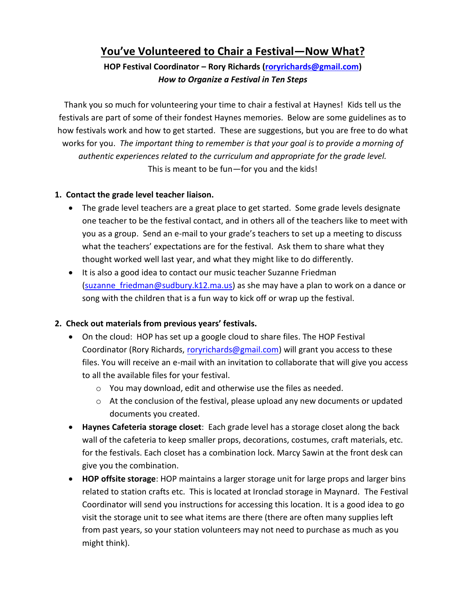# **You've Volunteered to Chair a Festival—Now What?**

**HOP Festival Coordinator – Rory Richards [\(roryrichards@gmail.com\)](about:blank)** *How to Organize a Festival in Ten Steps*

Thank you so much for volunteering your time to chair a festival at Haynes! Kids tell us the festivals are part of some of their fondest Haynes memories. Below are some guidelines as to how festivals work and how to get started. These are suggestions, but you are free to do what works for you. *The important thing to remember is that your goal is to provide a morning of authentic experiences related to the curriculum and appropriate for the grade level.* This is meant to be fun—for you and the kids!

## **1. Contact the grade level teacher liaison.**

- The grade level teachers are a great place to get started. Some grade levels designate one teacher to be the festival contact, and in others all of the teachers like to meet with you as a group. Send an e-mail to your grade's teachers to set up a meeting to discuss what the teachers' expectations are for the festival. Ask them to share what they thought worked well last year, and what they might like to do differently.
- $\bullet$  It is also a good idea to contact our music teacher Suzanne Friedman [\(suzanne\\_friedman@sudbury.k12.ma.us\)](about:blank) as she may have a plan to work on a dance or song with the children that is a fun way to kick off or wrap up the festival.

### **2. Check out materials from previous years' festivals.**

- On the cloud: HOP has set up a google cloud to share files. The HOP Festival Coordinator (Rory Richards, [roryrichards@gmail.com\)](about:blank) will grant you access to these files. You will receive an e-mail with an invitation to collaborate that will give you access to all the available files for your festival.
	- o You may download, edit and otherwise use the files as needed.
	- o At the conclusion of the festival, please upload any new documents or updated documents you created.
- **Haynes Cafeteria storage closet**: Each grade level has a storage closet along the back wall of the cafeteria to keep smaller props, decorations, costumes, craft materials, etc. for the festivals. Each closet has a combination lock. Marcy Sawin at the front desk can give you the combination.
- **HOP offsite storage**: HOP maintains a larger storage unit for large props and larger bins related to station crafts etc. This is located at Ironclad storage in Maynard. The Festival Coordinator will send you instructions for accessing this location. It is a good idea to go visit the storage unit to see what items are there (there are often many supplies left from past years, so your station volunteers may not need to purchase as much as you might think).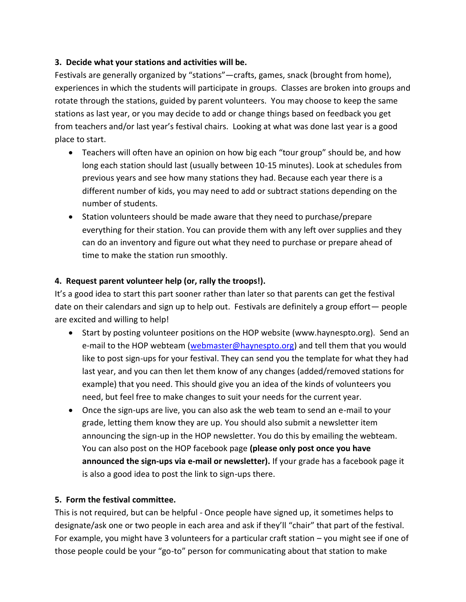### **3. Decide what your stations and activities will be.**

Festivals are generally organized by "stations"—crafts, games, snack (brought from home), experiences in which the students will participate in groups. Classes are broken into groups and rotate through the stations, guided by parent volunteers. You may choose to keep the same stations as last year, or you may decide to add or change things based on feedback you get from teachers and/or last year's festival chairs. Looking at what was done last year is a good place to start.

- Teachers will often have an opinion on how big each "tour group" should be, and how long each station should last (usually between 10-15 minutes). Look at schedules from previous years and see how many stations they had. Because each year there is a different number of kids, you may need to add or subtract stations depending on the number of students.
- Station volunteers should be made aware that they need to purchase/prepare everything for their station. You can provide them with any left over supplies and they can do an inventory and figure out what they need to purchase or prepare ahead of time to make the station run smoothly.

## **4. Request parent volunteer help (or, rally the troops!).**

It's a good idea to start this part sooner rather than later so that parents can get the festival date on their calendars and sign up to help out. Festivals are definitely a group effort— people are excited and willing to help!

- Start by posting volunteer positions on the HOP website (www.haynespto.org). Send an e-mail to the HOP webteam [\(webmaster@haynespto.org\)](about:blank) and tell them that you would like to post sign-ups for your festival. They can send you the template for what they had last year, and you can then let them know of any changes (added/removed stations for example) that you need. This should give you an idea of the kinds of volunteers you need, but feel free to make changes to suit your needs for the current year.
- Once the sign-ups are live, you can also ask the web team to send an e-mail to your grade, letting them know they are up. You should also submit a newsletter item announcing the sign-up in the HOP newsletter. You do this by emailing the webteam. You can also post on the HOP facebook page **(please only post once you have announced the sign-ups via e-mail or newsletter).** If your grade has a facebook page it is also a good idea to post the link to sign-ups there.

## **5. Form the festival committee.**

This is not required, but can be helpful - Once people have signed up, it sometimes helps to designate/ask one or two people in each area and ask if they'll "chair" that part of the festival. For example, you might have 3 volunteers for a particular craft station – you might see if one of those people could be your "go-to" person for communicating about that station to make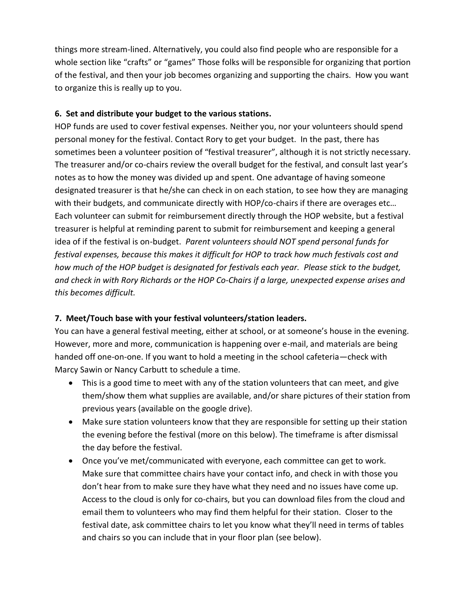things more stream-lined. Alternatively, you could also find people who are responsible for a whole section like "crafts" or "games" Those folks will be responsible for organizing that portion of the festival, and then your job becomes organizing and supporting the chairs. How you want to organize this is really up to you.

#### **6. Set and distribute your budget to the various stations.**

HOP funds are used to cover festival expenses. Neither you, nor your volunteers should spend personal money for the festival. Contact Rory to get your budget. In the past, there has sometimes been a volunteer position of "festival treasurer", although it is not strictly necessary. The treasurer and/or co-chairs review the overall budget for the festival, and consult last year's notes as to how the money was divided up and spent. One advantage of having someone designated treasurer is that he/she can check in on each station, to see how they are managing with their budgets, and communicate directly with HOP/co-chairs if there are overages etc... Each volunteer can submit for reimbursement directly through the HOP website, but a festival treasurer is helpful at reminding parent to submit for reimbursement and keeping a general idea of if the festival is on-budget. *Parent volunteers should NOT spend personal funds for festival expenses, because this makes it difficult for HOP to track how much festivals cost and how much of the HOP budget is designated for festivals each year. Please stick to the budget, and check in with Rory Richards or the HOP Co-Chairs if a large, unexpected expense arises and this becomes difficult.*

### **7. Meet/Touch base with your festival volunteers/station leaders.**

You can have a general festival meeting, either at school, or at someone's house in the evening. However, more and more, communication is happening over e-mail, and materials are being handed off one-on-one. If you want to hold a meeting in the school cafeteria—check with Marcy Sawin or Nancy Carbutt to schedule a time.

- This is a good time to meet with any of the station volunteers that can meet, and give them/show them what supplies are available, and/or share pictures of their station from previous years (available on the google drive).
- Make sure station volunteers know that they are responsible for setting up their station the evening before the festival (more on this below). The timeframe is after dismissal the day before the festival.
- Once you've met/communicated with everyone, each committee can get to work. Make sure that committee chairs have your contact info, and check in with those you don't hear from to make sure they have what they need and no issues have come up. Access to the cloud is only for co-chairs, but you can download files from the cloud and email them to volunteers who may find them helpful for their station. Closer to the festival date, ask committee chairs to let you know what they'll need in terms of tables and chairs so you can include that in your floor plan (see below).